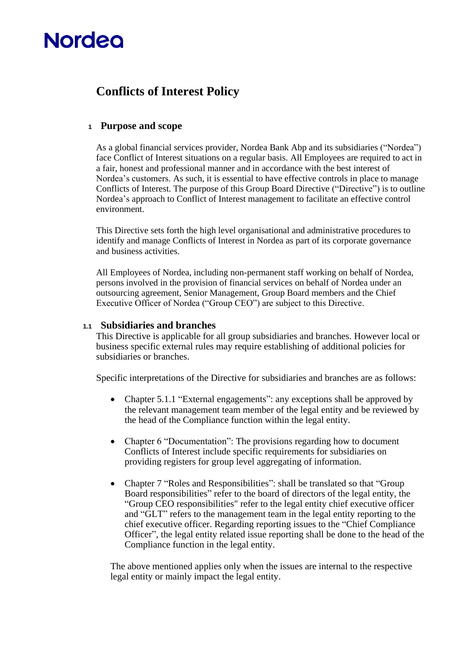# **Nordeo**

## **Conflicts of Interest Policy**

## **<sup>1</sup> Purpose and scope**

As a global financial services provider, Nordea Bank Abp and its subsidiaries ("Nordea") face Conflict of Interest situations on a regular basis. All Employees are required to act in a fair, honest and professional manner and in accordance with the best interest of Nordea's customers. As such, it is essential to have effective controls in place to manage Conflicts of Interest. The purpose of this Group Board Directive ("Directive") is to outline Nordea's approach to Conflict of Interest management to facilitate an effective control environment.

This Directive sets forth the high level organisational and administrative procedures to identify and manage Conflicts of Interest in Nordea as part of its corporate governance and business activities.

All Employees of Nordea, including non-permanent staff working on behalf of Nordea, persons involved in the provision of financial services on behalf of Nordea under an outsourcing agreement, Senior Management, Group Board members and the Chief Executive Officer of Nordea ("Group CEO") are subject to this Directive.

## **1.1 Subsidiaries and branches**

This Directive is applicable for all group subsidiaries and branches. However local or business specific external rules may require establishing of additional policies for subsidiaries or branches.

Specific interpretations of the Directive for subsidiaries and branches are as follows:

- Chapter 5.1.1 "External engagements": any exceptions shall be approved by the relevant management team member of the legal entity and be reviewed by the head of the Compliance function within the legal entity.
- Chapter 6 "Documentation": The provisions regarding how to document Conflicts of Interest include specific requirements for subsidiaries on providing registers for group level aggregating of information.
- Chapter 7 "Roles and Responsibilities": shall be translated so that "Group" Board responsibilities" refer to the board of directors of the legal entity, the "Group CEO responsibilities" refer to the legal entity chief executive officer and "GLT" refers to the management team in the legal entity reporting to the chief executive officer. Regarding reporting issues to the "Chief Compliance Officer", the legal entity related issue reporting shall be done to the head of the Compliance function in the legal entity.

The above mentioned applies only when the issues are internal to the respective legal entity or mainly impact the legal entity.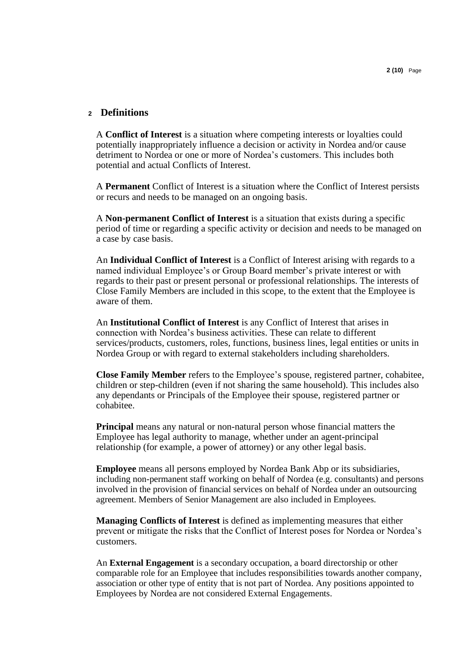## **<sup>2</sup> Definitions**

A **Conflict of Interest** is a situation where competing interests or loyalties could potentially inappropriately influence a decision or activity in Nordea and/or cause detriment to Nordea or one or more of Nordea's customers. This includes both potential and actual Conflicts of Interest.

A **Permanent** Conflict of Interest is a situation where the Conflict of Interest persists or recurs and needs to be managed on an ongoing basis.

A **Non-permanent Conflict of Interest** is a situation that exists during a specific period of time or regarding a specific activity or decision and needs to be managed on a case by case basis.

An **Individual Conflict of Interest** is a Conflict of Interest arising with regards to a named individual Employee's or Group Board member's private interest or with regards to their past or present personal or professional relationships. The interests of Close Family Members are included in this scope, to the extent that the Employee is aware of them.

An **Institutional Conflict of Interest** is any Conflict of Interest that arises in connection with Nordea's business activities. These can relate to different services/products, customers, roles, functions, business lines, legal entities or units in Nordea Group or with regard to external stakeholders including shareholders.

**Close Family Member** refers to the Employee's spouse, registered partner, cohabitee, children or step-children (even if not sharing the same household). This includes also any dependants or Principals of the Employee their spouse, registered partner or cohabitee.

**Principal** means any natural or non-natural person whose financial matters the Employee has legal authority to manage, whether under an agent-principal relationship (for example, a power of attorney) or any other legal basis.

**Employee** means all persons employed by Nordea Bank Abp or its subsidiaries, including non-permanent staff working on behalf of Nordea (e.g. consultants) and persons involved in the provision of financial services on behalf of Nordea under an outsourcing agreement. Members of Senior Management are also included in Employees.

**Managing Conflicts of Interest** is defined as implementing measures that either prevent or mitigate the risks that the Conflict of Interest poses for Nordea or Nordea's customers.

An **External Engagement** is a secondary occupation, a board directorship or other comparable role for an Employee that includes responsibilities towards another company, association or other type of entity that is not part of Nordea. Any positions appointed to Employees by Nordea are not considered External Engagements.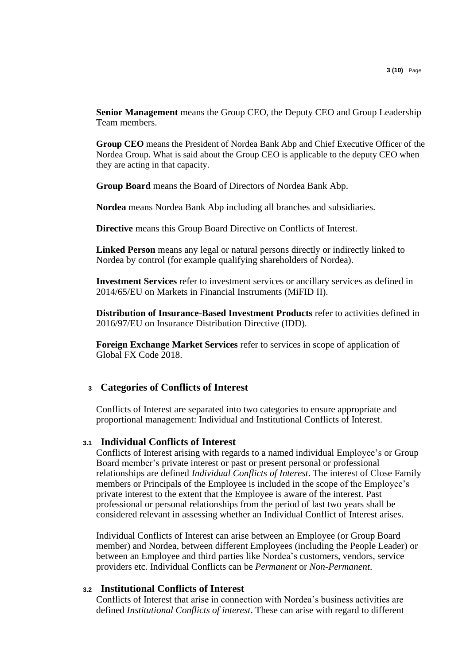**Senior Management** means the Group CEO, the Deputy CEO and Group Leadership Team members.

**Group CEO** means the President of Nordea Bank Abp and Chief Executive Officer of the Nordea Group. What is said about the Group CEO is applicable to the deputy CEO when they are acting in that capacity.

**Group Board** means the Board of Directors of Nordea Bank Abp.

**Nordea** means Nordea Bank Abp including all branches and subsidiaries.

**Directive** means this Group Board Directive on Conflicts of Interest.

**Linked Person** means any legal or natural persons directly or indirectly linked to Nordea by control (for example qualifying shareholders of Nordea).

**Investment Services** refer to investment services or ancillary services as defined in 2014/65/EU on Markets in Financial Instruments (MiFID II).

**Distribution of Insurance-Based Investment Products** refer to activities defined in 2016/97/EU on Insurance Distribution Directive (IDD).

**Foreign Exchange Market Services** refer to services in scope of application of Global FX Code 2018.

## **<sup>3</sup> Categories of Conflicts of Interest**

Conflicts of Interest are separated into two categories to ensure appropriate and proportional management: Individual and Institutional Conflicts of Interest.

#### **3.1 Individual Conflicts of Interest**

Conflicts of Interest arising with regards to a named individual Employee's or Group Board member's private interest or past or present personal or professional relationships are defined *Individual Conflicts of Interest*. The interest of Close Family members or Principals of the Employee is included in the scope of the Employee's private interest to the extent that the Employee is aware of the interest. Past professional or personal relationships from the period of last two years shall be considered relevant in assessing whether an Individual Conflict of Interest arises.

Individual Conflicts of Interest can arise between an Employee (or Group Board member) and Nordea, between different Employees (including the People Leader) or between an Employee and third parties like Nordea's customers, vendors, service providers etc. Individual Conflicts can be *Permanent* or *Non-Permanent*.

## **3.2 Institutional Conflicts of Interest**

Conflicts of Interest that arise in connection with Nordea's business activities are defined *Institutional Conflicts of interest*. These can arise with regard to different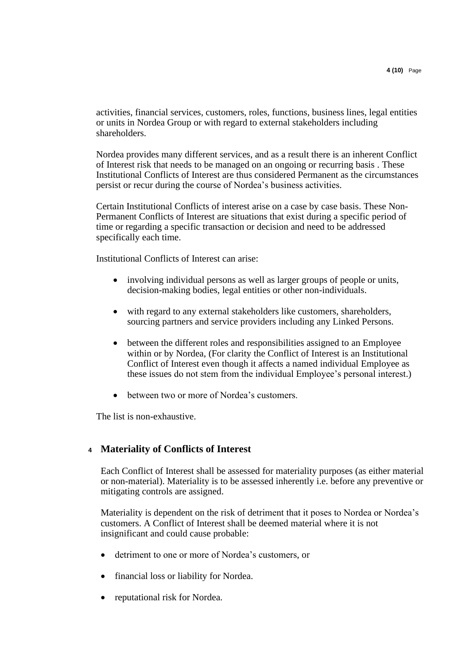activities, financial services, customers, roles, functions, business lines, legal entities or units in Nordea Group or with regard to external stakeholders including shareholders.

Nordea provides many different services, and as a result there is an inherent Conflict of Interest risk that needs to be managed on an ongoing or recurring basis . These Institutional Conflicts of Interest are thus considered Permanent as the circumstances persist or recur during the course of Nordea's business activities.

Certain Institutional Conflicts of interest arise on a case by case basis. These Non-Permanent Conflicts of Interest are situations that exist during a specific period of time or regarding a specific transaction or decision and need to be addressed specifically each time.

Institutional Conflicts of Interest can arise:

- involving individual persons as well as larger groups of people or units, decision-making bodies, legal entities or other non-individuals.
- with regard to any external stakeholders like customers, shareholders, sourcing partners and service providers including any Linked Persons.
- between the different roles and responsibilities assigned to an Employee within or by Nordea, (For clarity the Conflict of Interest is an Institutional Conflict of Interest even though it affects a named individual Employee as these issues do not stem from the individual Employee's personal interest.)
- between two or more of Nordea's customers.

The list is non-exhaustive.

## **<sup>4</sup> Materiality of Conflicts of Interest**

Each Conflict of Interest shall be assessed for materiality purposes (as either material or non-material). Materiality is to be assessed inherently i.e. before any preventive or mitigating controls are assigned.

Materiality is dependent on the risk of detriment that it poses to Nordea or Nordea's customers. A Conflict of Interest shall be deemed material where it is not insignificant and could cause probable:

- detriment to one or more of Nordea's customers, or
- financial loss or liability for Nordea.
- reputational risk for Nordea.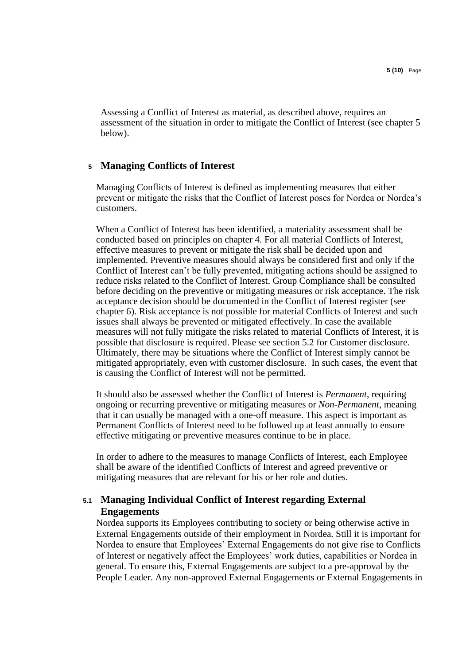Assessing a Conflict of Interest as material, as described above, requires an assessment of the situation in order to mitigate the Conflict of Interest (see chapter 5 below).

## **<sup>5</sup> Managing Conflicts of Interest**

Managing Conflicts of Interest is defined as implementing measures that either prevent or mitigate the risks that the Conflict of Interest poses for Nordea or Nordea's customers.

When a Conflict of Interest has been identified, a materiality assessment shall be conducted based on principles on chapter 4. For all material Conflicts of Interest, effective measures to prevent or mitigate the risk shall be decided upon and implemented. Preventive measures should always be considered first and only if the Conflict of Interest can't be fully prevented, mitigating actions should be assigned to reduce risks related to the Conflict of Interest. Group Compliance shall be consulted before deciding on the preventive or mitigating measures or risk acceptance. The risk acceptance decision should be documented in the Conflict of Interest register (see chapter 6). Risk acceptance is not possible for material Conflicts of Interest and such issues shall always be prevented or mitigated effectively. In case the available measures will not fully mitigate the risks related to material Conflicts of Interest, it is possible that disclosure is required. Please see section 5.2 for Customer disclosure. Ultimately, there may be situations where the Conflict of Interest simply cannot be mitigated appropriately, even with customer disclosure. In such cases, the event that is causing the Conflict of Interest will not be permitted.

It should also be assessed whether the Conflict of Interest is *Permanent*, requiring ongoing or recurring preventive or mitigating measures or *Non-Permanent*, meaning that it can usually be managed with a one-off measure. This aspect is important as Permanent Conflicts of Interest need to be followed up at least annually to ensure effective mitigating or preventive measures continue to be in place.

In order to adhere to the measures to manage Conflicts of Interest, each Employee shall be aware of the identified Conflicts of Interest and agreed preventive or mitigating measures that are relevant for his or her role and duties.

## **5.1 Managing Individual Conflict of Interest regarding External Engagements**

Nordea supports its Employees contributing to society or being otherwise active in External Engagements outside of their employment in Nordea. Still it is important for Nordea to ensure that Employees' External Engagements do not give rise to Conflicts of Interest or negatively affect the Employees' work duties, capabilities or Nordea in general. To ensure this, External Engagements are subject to a pre-approval by the People Leader. Any non-approved External Engagements or External Engagements in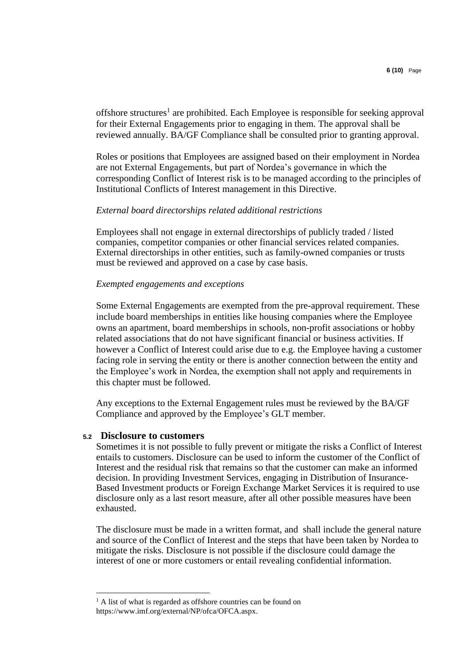offshore structures<sup>1</sup> are prohibited. Each Employee is responsible for seeking approval for their External Engagements prior to engaging in them. The approval shall be reviewed annually. BA/GF Compliance shall be consulted prior to granting approval.

Roles or positions that Employees are assigned based on their employment in Nordea are not External Engagements, but part of Nordea's governance in which the corresponding Conflict of Interest risk is to be managed according to the principles of Institutional Conflicts of Interest management in this Directive.

#### *External board directorships related additional restrictions*

Employees shall not engage in external directorships of publicly traded / listed companies, competitor companies or other financial services related companies. External directorships in other entities, such as family-owned companies or trusts must be reviewed and approved on a case by case basis.

#### *Exempted engagements and exceptions*

Some External Engagements are exempted from the pre-approval requirement. These include board memberships in entities like housing companies where the Employee owns an apartment, board memberships in schools, non-profit associations or hobby related associations that do not have significant financial or business activities. If however a Conflict of Interest could arise due to e.g. the Employee having a customer facing role in serving the entity or there is another connection between the entity and the Employee's work in Nordea, the exemption shall not apply and requirements in this chapter must be followed.

Any exceptions to the External Engagement rules must be reviewed by the BA/GF Compliance and approved by the Employee's GLT member.

#### **5.2 Disclosure to customers**

Sometimes it is not possible to fully prevent or mitigate the risks a Conflict of Interest entails to customers. Disclosure can be used to inform the customer of the Conflict of Interest and the residual risk that remains so that the customer can make an informed decision. In providing Investment Services, engaging in Distribution of Insurance-Based Investment products or Foreign Exchange Market Services it is required to use disclosure only as a last resort measure, after all other possible measures have been exhausted.

The disclosure must be made in a written format, and shall include the general nature and source of the Conflict of Interest and the steps that have been taken by Nordea to mitigate the risks. Disclosure is not possible if the disclosure could damage the interest of one or more customers or entail revealing confidential information.

<sup>&</sup>lt;sup>1</sup> A list of what is regarded as offshore countries can be found on https://www.imf.org/external/NP/ofca/OFCA.aspx.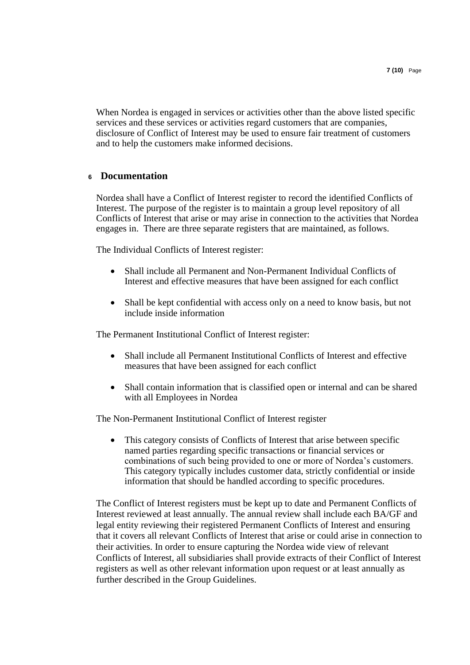When Nordea is engaged in services or activities other than the above listed specific services and these services or activities regard customers that are companies, disclosure of Conflict of Interest may be used to ensure fair treatment of customers and to help the customers make informed decisions.

## **<sup>6</sup> Documentation**

Nordea shall have a Conflict of Interest register to record the identified Conflicts of Interest. The purpose of the register is to maintain a group level repository of all Conflicts of Interest that arise or may arise in connection to the activities that Nordea engages in. There are three separate registers that are maintained, as follows.

The Individual Conflicts of Interest register:

- Shall include all Permanent and Non-Permanent Individual Conflicts of Interest and effective measures that have been assigned for each conflict
- Shall be kept confidential with access only on a need to know basis, but not include inside information

The Permanent Institutional Conflict of Interest register:

- Shall include all Permanent Institutional Conflicts of Interest and effective measures that have been assigned for each conflict
- Shall contain information that is classified open or internal and can be shared with all Employees in Nordea

The Non-Permanent Institutional Conflict of Interest register

This category consists of Conflicts of Interest that arise between specific named parties regarding specific transactions or financial services or combinations of such being provided to one or more of Nordea's customers. This category typically includes customer data, strictly confidential or inside information that should be handled according to specific procedures.

The Conflict of Interest registers must be kept up to date and Permanent Conflicts of Interest reviewed at least annually. The annual review shall include each BA/GF and legal entity reviewing their registered Permanent Conflicts of Interest and ensuring that it covers all relevant Conflicts of Interest that arise or could arise in connection to their activities. In order to ensure capturing the Nordea wide view of relevant Conflicts of Interest, all subsidiaries shall provide extracts of their Conflict of Interest registers as well as other relevant information upon request or at least annually as further described in the Group Guidelines.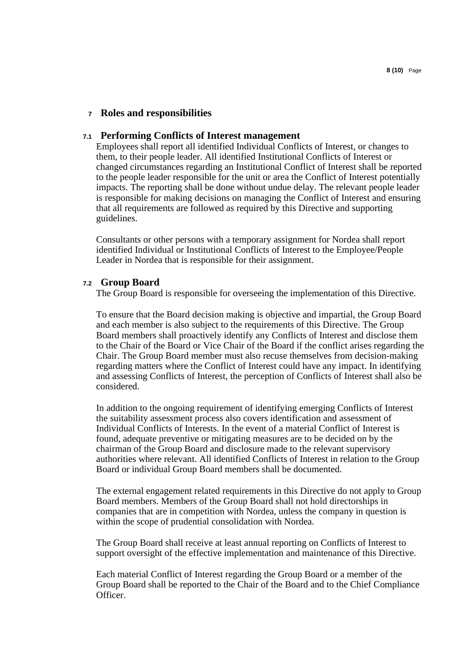#### **<sup>7</sup> Roles and responsibilities**

#### **7.1 Performing Conflicts of Interest management**

Employees shall report all identified Individual Conflicts of Interest, or changes to them, to their people leader. All identified Institutional Conflicts of Interest or changed circumstances regarding an Institutional Conflict of Interest shall be reported to the people leader responsible for the unit or area the Conflict of Interest potentially impacts. The reporting shall be done without undue delay. The relevant people leader is responsible for making decisions on managing the Conflict of Interest and ensuring that all requirements are followed as required by this Directive and supporting guidelines.

Consultants or other persons with a temporary assignment for Nordea shall report identified Individual or Institutional Conflicts of Interest to the Employee/People Leader in Nordea that is responsible for their assignment.

#### **7.2 Group Board**

The Group Board is responsible for overseeing the implementation of this Directive.

To ensure that the Board decision making is objective and impartial, the Group Board and each member is also subject to the requirements of this Directive. The Group Board members shall proactively identify any Conflicts of Interest and disclose them to the Chair of the Board or Vice Chair of the Board if the conflict arises regarding the Chair. The Group Board member must also recuse themselves from decision-making regarding matters where the Conflict of Interest could have any impact. In identifying and assessing Conflicts of Interest, the perception of Conflicts of Interest shall also be considered.

In addition to the ongoing requirement of identifying emerging Conflicts of Interest the suitability assessment process also covers identification and assessment of Individual Conflicts of Interests. In the event of a material Conflict of Interest is found, adequate preventive or mitigating measures are to be decided on by the chairman of the Group Board and disclosure made to the relevant supervisory authorities where relevant. All identified Conflicts of Interest in relation to the Group Board or individual Group Board members shall be documented.

The external engagement related requirements in this Directive do not apply to Group Board members. Members of the Group Board shall not hold directorships in companies that are in competition with Nordea, unless the company in question is within the scope of prudential consolidation with Nordea.

The Group Board shall receive at least annual reporting on Conflicts of Interest to support oversight of the effective implementation and maintenance of this Directive.

Each material Conflict of Interest regarding the Group Board or a member of the Group Board shall be reported to the Chair of the Board and to the Chief Compliance Officer.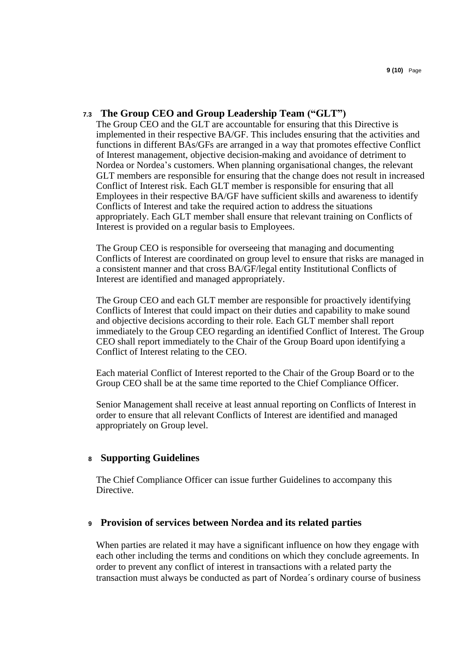### **7.3 The Group CEO and Group Leadership Team ("GLT")**

The Group CEO and the GLT are accountable for ensuring that this Directive is implemented in their respective BA/GF. This includes ensuring that the activities and functions in different BAs/GFs are arranged in a way that promotes effective Conflict of Interest management, objective decision-making and avoidance of detriment to Nordea or Nordea's customers. When planning organisational changes, the relevant GLT members are responsible for ensuring that the change does not result in increased Conflict of Interest risk. Each GLT member is responsible for ensuring that all Employees in their respective BA/GF have sufficient skills and awareness to identify Conflicts of Interest and take the required action to address the situations appropriately. Each GLT member shall ensure that relevant training on Conflicts of Interest is provided on a regular basis to Employees.

The Group CEO is responsible for overseeing that managing and documenting Conflicts of Interest are coordinated on group level to ensure that risks are managed in a consistent manner and that cross BA/GF/legal entity Institutional Conflicts of Interest are identified and managed appropriately.

The Group CEO and each GLT member are responsible for proactively identifying Conflicts of Interest that could impact on their duties and capability to make sound and objective decisions according to their role. Each GLT member shall report immediately to the Group CEO regarding an identified Conflict of Interest. The Group CEO shall report immediately to the Chair of the Group Board upon identifying a Conflict of Interest relating to the CEO.

Each material Conflict of Interest reported to the Chair of the Group Board or to the Group CEO shall be at the same time reported to the Chief Compliance Officer.

Senior Management shall receive at least annual reporting on Conflicts of Interest in order to ensure that all relevant Conflicts of Interest are identified and managed appropriately on Group level.

#### **<sup>8</sup> Supporting Guidelines**

The Chief Compliance Officer can issue further Guidelines to accompany this Directive.

#### **<sup>9</sup> Provision of services between Nordea and its related parties**

When parties are related it may have a significant influence on how they engage with each other including the terms and conditions on which they conclude agreements. In order to prevent any conflict of interest in transactions with a related party the transaction must always be conducted as part of Nordea´s ordinary course of business